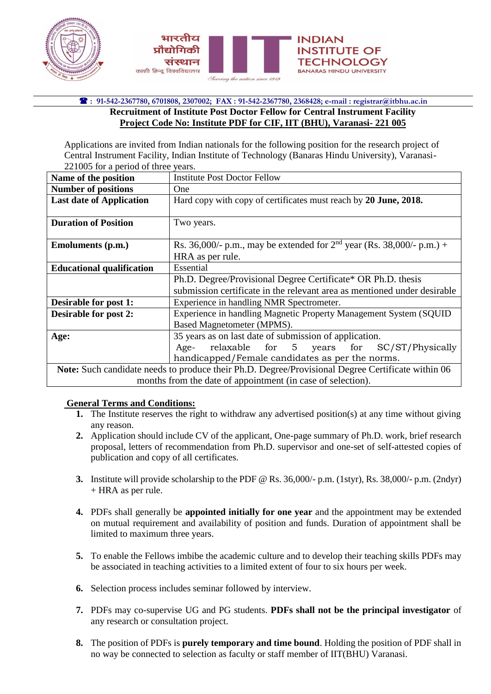



## **: 91-542-2367780, 6701808, 2307002; FAX : 91-542-2367780, 2368428; e-mail : registrar@itbhu.ac.in Recruitment of Institute Post Doctor Fellow for Central Instrument Facility Project Code No: Institute PDF for CIF, IIT (BHU), Varanasi- 221 005**

Applications are invited from Indian nationals for the following position for the research project of Central Instrument Facility, Indian Institute of Technology (Banaras Hindu University), Varanasi-221005 for a period of three years.

| Name of the position                                                                              | <b>Institute Post Doctor Fellow</b>                                      |
|---------------------------------------------------------------------------------------------------|--------------------------------------------------------------------------|
| <b>Number of positions</b>                                                                        | One                                                                      |
| <b>Last date of Application</b>                                                                   | Hard copy with copy of certificates must reach by 20 June, 2018.         |
|                                                                                                   |                                                                          |
| <b>Duration of Position</b>                                                                       | Two years.                                                               |
|                                                                                                   |                                                                          |
| <b>Emoluments (p.m.)</b>                                                                          | Rs. 36,000/- p.m., may be extended for $2nd$ year (Rs. 38,000/- p.m.) +  |
|                                                                                                   | HRA as per rule.                                                         |
| <b>Educational qualification</b>                                                                  | Essential                                                                |
|                                                                                                   | Ph.D. Degree/Provisional Degree Certificate* OR Ph.D. thesis             |
|                                                                                                   | submission certificate in the relevant area as mentioned under desirable |
| Desirable for post 1:                                                                             | Experience in handling NMR Spectrometer.                                 |
| <b>Desirable for post 2:</b>                                                                      | Experience in handling Magnetic Property Management System (SQUID        |
|                                                                                                   | Based Magnetometer (MPMS).                                               |
| Age:                                                                                              | 35 years as on last date of submission of application.                   |
|                                                                                                   | relaxable for 5 years for SC/ST/Physically<br>Age-                       |
|                                                                                                   | handicapped/Female candidates as per the norms.                          |
| Note: Such candidate needs to produce their Ph.D. Degree/Provisional Degree Certificate within 06 |                                                                          |
| months from the date of appointment (in case of selection).                                       |                                                                          |

## **General Terms and Conditions:**

- **1.** The Institute reserves the right to withdraw any advertised position(s) at any time without giving any reason.
- **2.** Application should include CV of the applicant, One-page summary of Ph.D. work, brief research proposal, letters of recommendation from Ph.D. supervisor and one-set of self-attested copies of publication and copy of all certificates.
- **3.** Institute will provide scholarship to the PDF @ Rs. 36,000/- p.m. (1styr), Rs. 38,000/- p.m. (2ndyr) + HRA as per rule.
- **4.** PDFs shall generally be **appointed initially for one year** and the appointment may be extended on mutual requirement and availability of position and funds. Duration of appointment shall be limited to maximum three years.
- **5.** To enable the Fellows imbibe the academic culture and to develop their teaching skills PDFs may be associated in teaching activities to a limited extent of four to six hours per week.
- **6.** Selection process includes seminar followed by interview.
- **7.** PDFs may co-supervise UG and PG students. **PDFs shall not be the principal investigator** of any research or consultation project.
- **8.** The position of PDFs is **purely temporary and time bound**. Holding the position of PDF shall in no way be connected to selection as faculty or staff member of IIT(BHU) Varanasi.